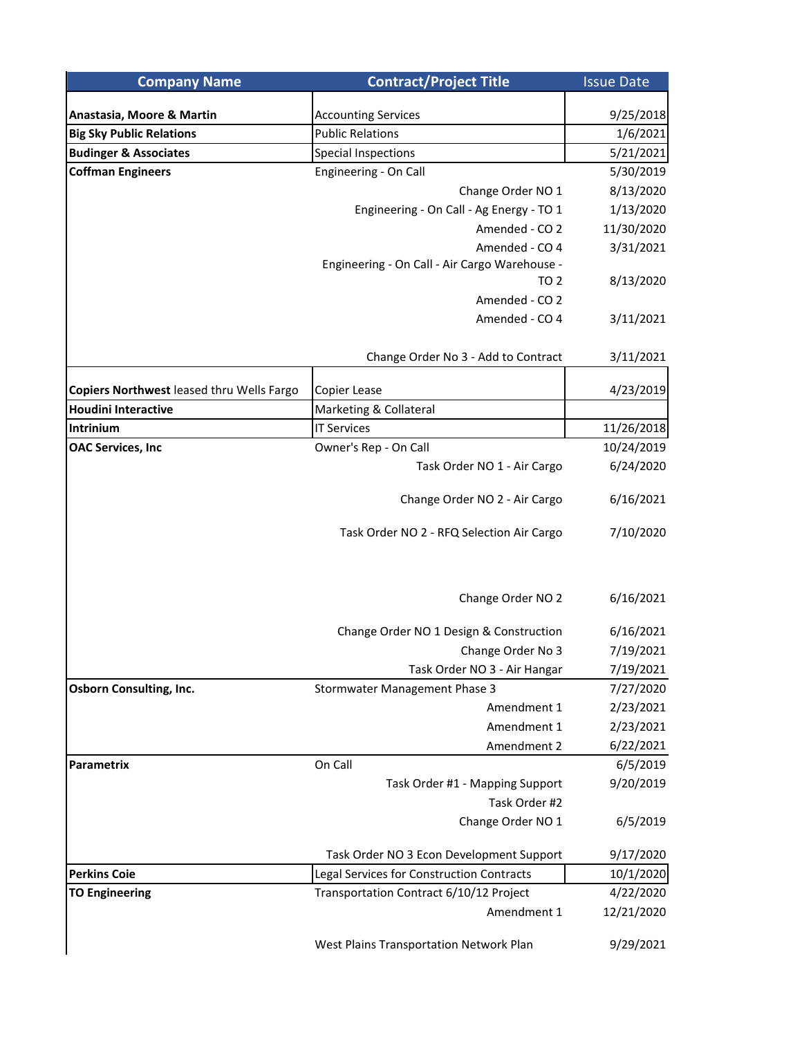| <b>Company Name</b>                       | <b>Contract/Project Title</b>                 | <b>Issue Date</b> |
|-------------------------------------------|-----------------------------------------------|-------------------|
|                                           |                                               |                   |
| Anastasia, Moore & Martin                 | <b>Accounting Services</b>                    | 9/25/2018         |
| <b>Big Sky Public Relations</b>           | <b>Public Relations</b>                       | 1/6/2021          |
| <b>Budinger &amp; Associates</b>          | <b>Special Inspections</b>                    | 5/21/2021         |
| <b>Coffman Engineers</b>                  | Engineering - On Call                         | 5/30/2019         |
|                                           | Change Order NO 1                             | 8/13/2020         |
|                                           | Engineering - On Call - Ag Energy - TO 1      | 1/13/2020         |
|                                           | Amended - CO 2                                | 11/30/2020        |
|                                           | Amended - CO 4                                | 3/31/2021         |
|                                           | Engineering - On Call - Air Cargo Warehouse - |                   |
|                                           | TO <sub>2</sub>                               | 8/13/2020         |
|                                           | Amended - CO 2                                |                   |
|                                           | Amended - CO 4                                | 3/11/2021         |
|                                           | Change Order No 3 - Add to Contract           | 3/11/2021         |
| Copiers Northwest leased thru Wells Fargo | Copier Lease                                  | 4/23/2019         |
| <b>Houdini Interactive</b>                | Marketing & Collateral                        |                   |
| Intrinium                                 | <b>IT Services</b>                            | 11/26/2018        |
| <b>OAC Services, Inc</b>                  | Owner's Rep - On Call                         | 10/24/2019        |
|                                           | Task Order NO 1 - Air Cargo                   | 6/24/2020         |
|                                           |                                               |                   |
|                                           | Change Order NO 2 - Air Cargo                 | 6/16/2021         |
|                                           | Task Order NO 2 - RFQ Selection Air Cargo     | 7/10/2020         |
|                                           | Change Order NO 2                             | 6/16/2021         |
|                                           | Change Order NO 1 Design & Construction       | 6/16/2021         |
|                                           | Change Order No 3                             | 7/19/2021         |
|                                           | Task Order NO 3 - Air Hangar                  | 7/19/2021         |
| <b>Osborn Consulting, Inc.</b>            | Stormwater Management Phase 3                 | 7/27/2020         |
|                                           | Amendment 1                                   | 2/23/2021         |
|                                           | Amendment 1                                   | 2/23/2021         |
|                                           | Amendment 2                                   | 6/22/2021         |
| <b>Parametrix</b>                         | On Call                                       | 6/5/2019          |
|                                           | Task Order #1 - Mapping Support               | 9/20/2019         |
|                                           | Task Order #2                                 |                   |
|                                           | Change Order NO 1                             | 6/5/2019          |
|                                           | Task Order NO 3 Econ Development Support      | 9/17/2020         |
| <b>Perkins Coie</b>                       | Legal Services for Construction Contracts     | 10/1/2020         |
| <b>TO Engineering</b>                     | Transportation Contract 6/10/12 Project       | 4/22/2020         |
|                                           | Amendment 1                                   | 12/21/2020        |
|                                           | West Plains Transportation Network Plan       | 9/29/2021         |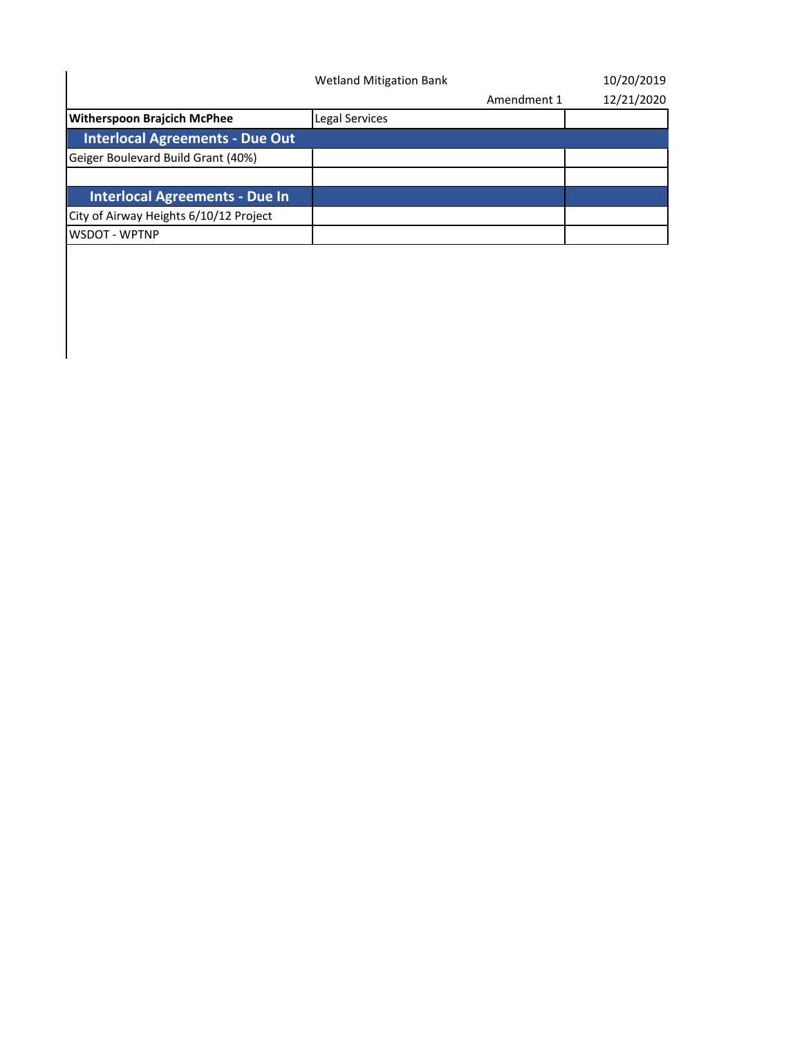|                                        | <b>Wetland Mitigation Bank</b> |             | 10/20/2019 |
|----------------------------------------|--------------------------------|-------------|------------|
|                                        |                                | Amendment 1 | 12/21/2020 |
| <b>Witherspoon Brajcich McPhee</b>     | Legal Services                 |             |            |
| <b>Interlocal Agreements - Due Out</b> |                                |             |            |
| Geiger Boulevard Build Grant (40%)     |                                |             |            |
|                                        |                                |             |            |
| <b>Interlocal Agreements - Due In</b>  |                                |             |            |
| City of Airway Heights 6/10/12 Project |                                |             |            |
| WSDOT - WPTNP                          |                                |             |            |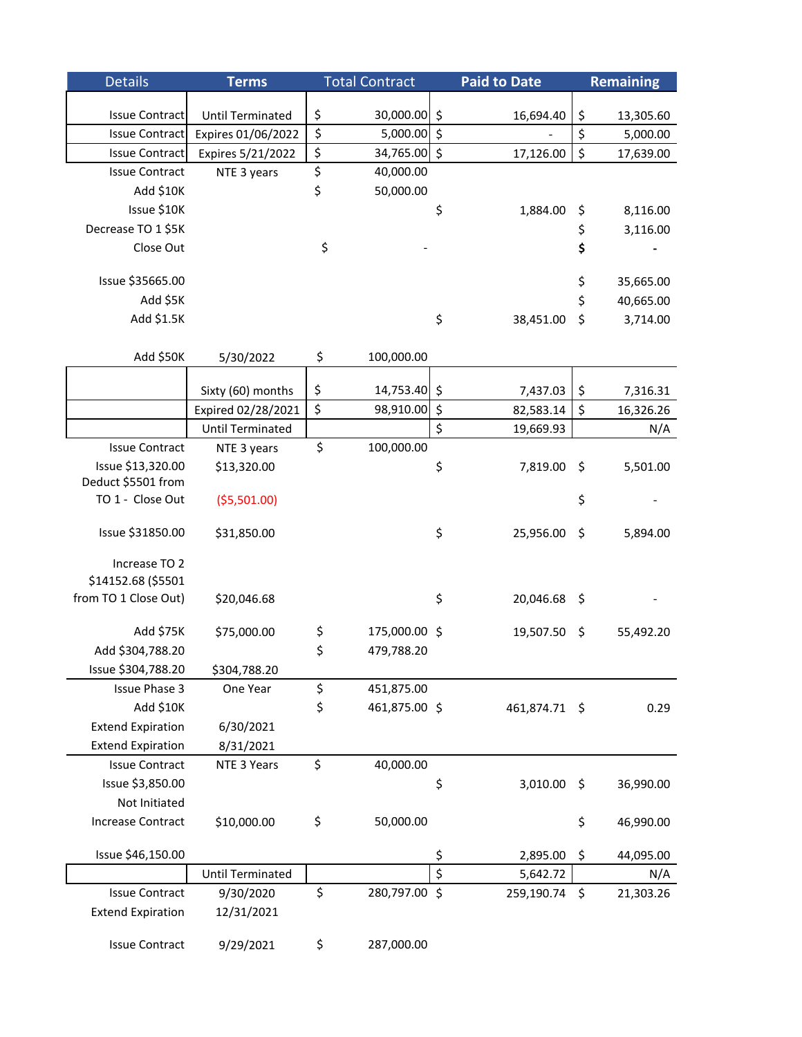| <b>Details</b>                          | <b>Terms</b>            | <b>Total Contract</b> |         | <b>Paid to Date</b> |         | <b>Remaining</b> |
|-----------------------------------------|-------------------------|-----------------------|---------|---------------------|---------|------------------|
|                                         |                         |                       |         |                     |         |                  |
| <b>Issue Contract</b>                   | <b>Until Terminated</b> | \$<br>30,000.00 \$    |         | 16,694.40           | \$      | 13,305.60        |
| <b>Issue Contract</b>                   | Expires 01/06/2022      | \$<br>5,000.00 \$     |         |                     | \$      | 5,000.00         |
| <b>Issue Contract</b>                   | Expires 5/21/2022       | \$<br>34,765.00 \$    |         | 17,126.00           | \$      | 17,639.00        |
| <b>Issue Contract</b>                   | NTE 3 years             | \$<br>40,000.00       |         |                     |         |                  |
| Add \$10K                               |                         | \$<br>50,000.00       |         |                     |         |                  |
| Issue \$10K                             |                         |                       | \$      | 1,884.00            | \$      | 8,116.00         |
| Decrease TO 1 \$5K                      |                         |                       |         |                     | \$      | 3,116.00         |
| Close Out                               |                         | \$                    |         |                     | \$      |                  |
| Issue \$35665.00                        |                         |                       |         |                     | \$      | 35,665.00        |
| Add \$5K                                |                         |                       |         |                     | \$      | 40,665.00        |
| Add \$1.5K                              |                         |                       | \$      | 38,451.00           | \$      | 3,714.00         |
| Add \$50K                               | 5/30/2022               | \$<br>100,000.00      |         |                     |         |                  |
|                                         |                         |                       |         |                     |         |                  |
|                                         | Sixty (60) months       | \$<br>14,753.40 \$    |         | 7,437.03            | \$      | 7,316.31         |
|                                         | Expired 02/28/2021      | \$<br>98,910.00 \$    |         | 82,583.14           | \$      | 16,326.26        |
|                                         | <b>Until Terminated</b> | \$                    | $\zeta$ | 19,669.93           |         | N/A              |
| <b>Issue Contract</b>                   | NTE 3 years             | 100,000.00            |         |                     |         |                  |
| Issue \$13,320.00<br>Deduct \$5501 from | \$13,320.00             |                       | \$      | 7,819.00            | \$      | 5,501.00         |
| TO 1 - Close Out                        | ( \$5,501.00)           |                       |         |                     | \$      |                  |
| Issue \$31850.00                        | \$31,850.00             |                       | \$      | 25,956.00           | \$      | 5,894.00         |
| Increase TO 2                           |                         |                       |         |                     |         |                  |
| \$14152.68 (\$5501                      |                         |                       |         |                     |         |                  |
| from TO 1 Close Out)                    | \$20,046.68             |                       | \$      | 20,046.68           | \$      |                  |
| Add \$75K                               | \$75,000.00             | \$<br>175,000.00 \$   |         | 19,507.50           | \$      | 55,492.20        |
| Add \$304,788.20                        |                         | \$<br>479,788.20      |         |                     |         |                  |
| Issue \$304,788.20                      | \$304,788.20            |                       |         |                     |         |                  |
| <b>Issue Phase 3</b>                    | One Year                | \$<br>451,875.00      |         |                     |         |                  |
| Add \$10K                               |                         | \$<br>461,875.00 \$   |         | 461,874.71 \$       |         | 0.29             |
| <b>Extend Expiration</b>                | 6/30/2021               |                       |         |                     |         |                  |
| <b>Extend Expiration</b>                | 8/31/2021               |                       |         |                     |         |                  |
| <b>Issue Contract</b>                   | NTE 3 Years             | \$<br>40,000.00       |         |                     |         |                  |
| Issue \$3,850.00                        |                         |                       | \$      | 3,010.00            | $\zeta$ | 36,990.00        |
| Not Initiated                           |                         |                       |         |                     |         |                  |
| <b>Increase Contract</b>                | \$10,000.00             | \$<br>50,000.00       |         |                     | \$      | 46,990.00        |
| Issue \$46,150.00                       |                         |                       | \$      | 2,895.00            | \$      | 44,095.00        |
|                                         | <b>Until Terminated</b> |                       | \$      | 5,642.72            |         | N/A              |
| <b>Issue Contract</b>                   | 9/30/2020               | \$<br>280,797.00 \$   |         | 259,190.74          | \$      | 21,303.26        |
| <b>Extend Expiration</b>                | 12/31/2021              |                       |         |                     |         |                  |
| <b>Issue Contract</b>                   | 9/29/2021               | \$<br>287,000.00      |         |                     |         |                  |
|                                         |                         |                       |         |                     |         |                  |